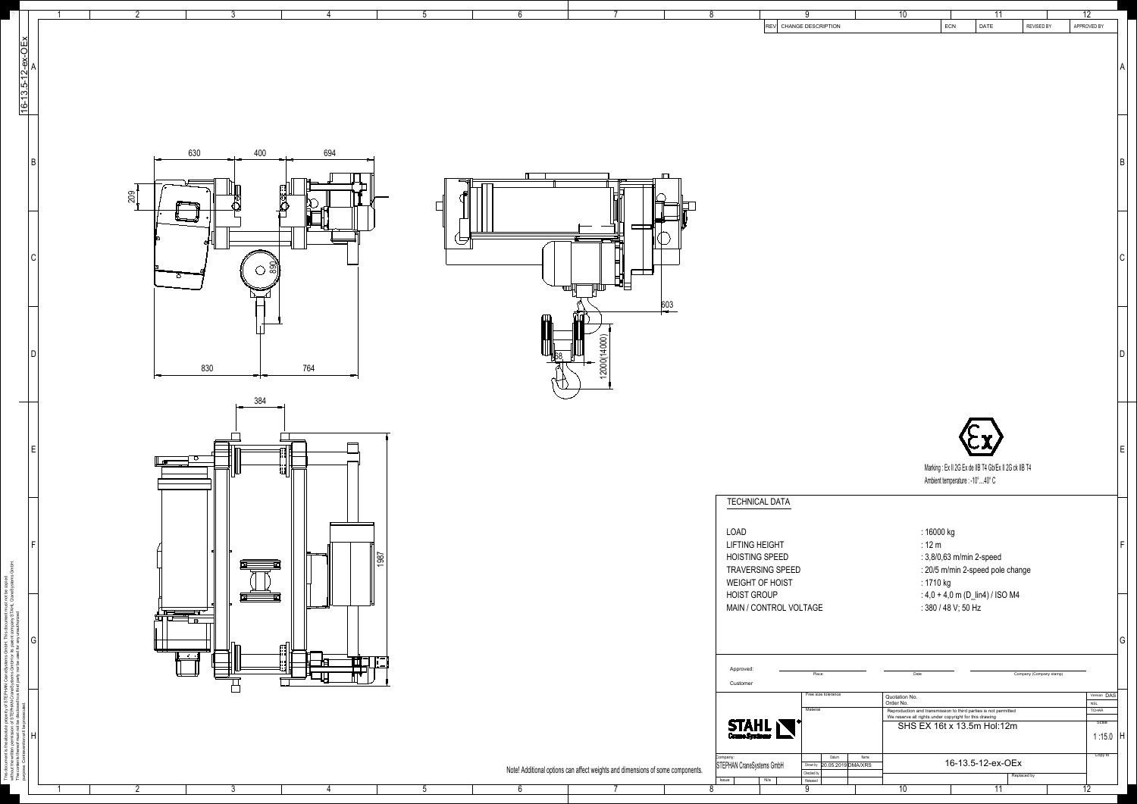| $\overline{2}$                     | ാ                        |                       |                          |            |                                                                                | 8                                                |                                            |                                              | $\overline{10}$            |                                                                                                                                                         | 11                |                         | $\overline{12}$                           |
|------------------------------------|--------------------------|-----------------------|--------------------------|------------|--------------------------------------------------------------------------------|--------------------------------------------------|--------------------------------------------|----------------------------------------------|----------------------------|---------------------------------------------------------------------------------------------------------------------------------------------------------|-------------------|-------------------------|-------------------------------------------|
|                                    |                          |                       |                          |            |                                                                                |                                                  | REV CHANGE DESCRIPTION                     |                                              |                            | ECN                                                                                                                                                     | DATE              | REVISED BY              | APPROVED BY                               |
| $16 - 13.5 - 12 - ex - OEx$        |                          |                       |                          |            |                                                                                |                                                  |                                            |                                              |                            |                                                                                                                                                         |                   |                         |                                           |
|                                    |                          |                       |                          |            |                                                                                |                                                  |                                            |                                              |                            |                                                                                                                                                         |                   |                         |                                           |
|                                    |                          |                       |                          |            |                                                                                |                                                  |                                            |                                              |                            |                                                                                                                                                         |                   |                         |                                           |
|                                    |                          |                       |                          |            |                                                                                |                                                  |                                            |                                              |                            |                                                                                                                                                         |                   |                         |                                           |
|                                    |                          |                       |                          |            |                                                                                |                                                  |                                            |                                              |                            |                                                                                                                                                         |                   |                         |                                           |
|                                    |                          |                       |                          |            |                                                                                |                                                  |                                            |                                              |                            |                                                                                                                                                         |                   |                         |                                           |
|                                    | 400<br>630               | 694                   |                          |            |                                                                                |                                                  |                                            |                                              |                            |                                                                                                                                                         |                   |                         |                                           |
|                                    |                          |                       |                          |            |                                                                                |                                                  |                                            |                                              |                            |                                                                                                                                                         |                   |                         |                                           |
|                                    |                          |                       | $\overline{\phantom{0}}$ |            |                                                                                |                                                  |                                            |                                              |                            |                                                                                                                                                         |                   |                         |                                           |
| 200                                |                          |                       |                          |            |                                                                                |                                                  |                                            |                                              |                            |                                                                                                                                                         |                   |                         |                                           |
|                                    |                          |                       |                          |            |                                                                                |                                                  |                                            |                                              |                            |                                                                                                                                                         |                   |                         |                                           |
|                                    |                          |                       |                          |            |                                                                                |                                                  |                                            |                                              |                            |                                                                                                                                                         |                   |                         |                                           |
|                                    |                          |                       |                          |            | ᄇ                                                                              |                                                  |                                            |                                              |                            |                                                                                                                                                         |                   |                         |                                           |
|                                    | 890<br>$\circ$           |                       |                          |            |                                                                                |                                                  |                                            |                                              |                            |                                                                                                                                                         |                   |                         |                                           |
|                                    |                          |                       |                          |            |                                                                                |                                                  |                                            |                                              |                            |                                                                                                                                                         |                   |                         |                                           |
|                                    |                          |                       |                          |            | 603                                                                            |                                                  |                                            |                                              |                            |                                                                                                                                                         |                   |                         |                                           |
|                                    |                          |                       |                          |            |                                                                                |                                                  |                                            |                                              |                            |                                                                                                                                                         |                   |                         |                                           |
|                                    |                          |                       |                          |            | 12000(14000)                                                                   |                                                  |                                            |                                              |                            |                                                                                                                                                         |                   |                         |                                           |
|                                    | 830                      | 764                   |                          | <b>168</b> |                                                                                |                                                  |                                            |                                              |                            |                                                                                                                                                         |                   |                         |                                           |
|                                    |                          |                       |                          |            |                                                                                |                                                  |                                            |                                              |                            |                                                                                                                                                         |                   |                         |                                           |
| $\overline{\phantom{a}}$           | 384                      |                       |                          |            |                                                                                |                                                  |                                            |                                              |                            |                                                                                                                                                         |                   |                         |                                           |
|                                    |                          |                       |                          |            |                                                                                |                                                  |                                            |                                              |                            |                                                                                                                                                         |                   |                         |                                           |
|                                    |                          |                       |                          |            |                                                                                |                                                  |                                            |                                              |                            |                                                                                                                                                         |                   |                         |                                           |
|                                    |                          |                       |                          |            |                                                                                |                                                  |                                            |                                              |                            |                                                                                                                                                         |                   |                         |                                           |
|                                    | ▏▁ <del>⋒</del>          | id Needa<br>San Meeda |                          |            |                                                                                |                                                  |                                            |                                              |                            | Marking : Ex II 2G Ex de IIB T4 Gb/Ex II 2G ck IIB T4                                                                                                   |                   |                         |                                           |
|                                    |                          |                       |                          |            |                                                                                |                                                  |                                            |                                              |                            | Ambient temperature : -10°  40° C                                                                                                                       |                   |                         |                                           |
|                                    |                          |                       |                          |            |                                                                                |                                                  | <b>TECHNICAL DATA</b>                      |                                              |                            |                                                                                                                                                         |                   |                         |                                           |
|                                    |                          |                       |                          |            |                                                                                | LOAD                                             |                                            |                                              |                            | : 16000 kg                                                                                                                                              |                   |                         |                                           |
|                                    |                          |                       |                          |            |                                                                                | <b>LIFTING HEIGHT</b>                            |                                            |                                              |                            | $:12 \text{ m}$                                                                                                                                         |                   |                         |                                           |
|                                    |                          | 1987<br>╪═╍╾═╝        |                          |            |                                                                                |                                                  | <b>HOISTING SPEED</b>                      |                                              |                            | : 3,8/0,63 m/min 2-speed                                                                                                                                |                   |                         |                                           |
|                                    |                          |                       |                          |            |                                                                                |                                                  | <b>TRAVERSING SPEED</b><br>WEIGHT OF HOIST |                                              |                            | : 20/5 m/min 2-speed pole change<br>: 1710 kg                                                                                                           |                   |                         |                                           |
|                                    | 囯<br>k<br>K              |                       |                          |            |                                                                                | <b>HOIST GROUP</b>                               |                                            |                                              |                            | : $4,0 + 4,0$ m (D_lin4) / ISO M4                                                                                                                       |                   |                         |                                           |
|                                    |                          | <del>∟ ਸ</del>        |                          |            |                                                                                |                                                  | MAIN / CONTROL VOLTAGE                     |                                              |                            | : 380 / 48 V; 50 Hz                                                                                                                                     |                   |                         |                                           |
|                                    |                          |                       |                          |            |                                                                                |                                                  |                                            |                                              |                            |                                                                                                                                                         |                   |                         |                                           |
| G                                  | <b>Contract Contract</b> |                       |                          |            |                                                                                |                                                  |                                            |                                              |                            |                                                                                                                                                         |                   |                         |                                           |
|                                    |                          |                       |                          |            |                                                                                | Approved                                         |                                            | Place                                        | Date                       |                                                                                                                                                         |                   | Company (Company stamp) |                                           |
|                                    |                          |                       |                          |            |                                                                                | Customer                                         |                                            | Free size tolerance                          |                            |                                                                                                                                                         |                   |                         |                                           |
|                                    |                          |                       |                          |            |                                                                                |                                                  |                                            | Material                                     | Quotation No.<br>Order No. |                                                                                                                                                         |                   |                         | Version DAS<br><b>NSL</b><br><b>TCHAR</b> |
|                                    |                          |                       |                          |            |                                                                                |                                                  | <b>STAHL</b>                               |                                              |                            | Reproduction and transmission to third parties is not permitted<br>We reserve all rights under copyright for this drawing<br>SHS EX 16t x 13.5m Hol:12m |                   |                         | Scale                                     |
|                                    |                          |                       |                          |            |                                                                                |                                                  |                                            |                                              |                            |                                                                                                                                                         |                   |                         | 1:15.0                                    |
| contents triefed<br>ose. Contraven |                          |                       |                          |            |                                                                                | <sub>Company:</sub><br>STEPHAN CraneSystems GmbH |                                            | Datum<br>Name<br>Drown by 20.05.2019 DMA/XRS |                            |                                                                                                                                                         | 16-13.5-12-ex-OEx |                         | Copy to                                   |
|                                    |                          |                       |                          |            | Note! Additional options can affect weights and dimensions of some components. | Issue                                            | N/a                                        | Checked by<br>Released                       |                            |                                                                                                                                                         | Replaced by       |                         |                                           |



 $\begin{array}{cccccccccccccc} 1 & 2 & 3 & 4 & 5 & 6 & 7 & 8 & 9 & 10 & 11 & 12 \end{array}$